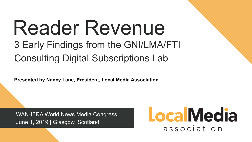# Reader Revenue 3 Early Findings from the GNI/LMA/FTI Consulting Digital Subscriptions Lab

WAN-IFRA World News Media Congress June 1, 2019 | Glasgow, Scotland

### **Local Media** association

**Presented by Nancy Lane, President, Local Media Association**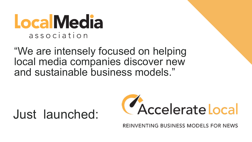## **LocalMedia** association

"We are intensely focused on helping local media companies discover new and sustainable business models."

## Just launched:



REINVENTING BUSINESS MODELS FOR NEWS

# CAccelerate Local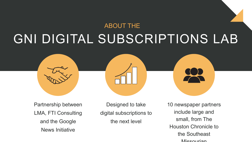#### GNI DIGITAL SUBSCRIPTIONS LAB ABOUT THE



10 newspaper partners include large and small, from The Houston Chronicle to the Southeast **Missourian** 

Designed to take digital subscriptions to the next level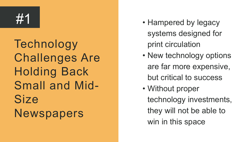Technology Challenges Are Holding Back Small and Mid-Size Newspapers

- Hampered by legacy systems designed for print circulation • New technology options are far more expensive, but critical to success • Without proper technology investments, they will not be able to
- 
- 
- 
- 
- 
- 
- - win in this space

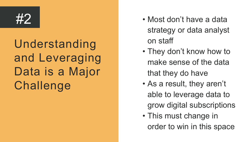Understanding and Leveraging Data is a Major Challenge

- Most don't have a data strategy or data analyst
- 
- on staff
- They don't know how to make sense of the data
- - that they do have
- As a result, they aren't
	- able to leverage data to
	- grow digital subscriptions
- This must change in
	- order to win in this space

#2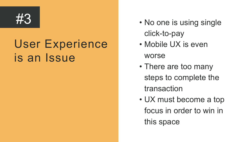#### User Experience is an Issue

- click-to-pay
	-
- No one is using single • Mobile UX is even
	- worse
	-
	-
- -
- There are too many
	- steps to complete the transaction
- UX must become a top
	- focus in order to win in
	- this space

#3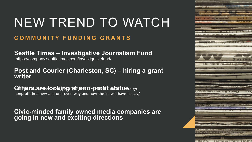**Seattle Times – Investigative Journalism Fund** 

#### **Post and Courier (Charleston, SC) – hiring a grant writer**

**Others are looking at non-profit status .** . . .

#### **COMMUNITY FUNDING GRANTS**  NEW TREND TO WATCH

**Civic-minded family owned media companies are going in new and exciting directions** 



LGL2 STIC LECSTRIEL? MG.AG

nonprofit-in-a-new-and-unproven-way-and-now-the-irs-will-have-its-say/ 

https://company.seattletimes.com/investigativefund/